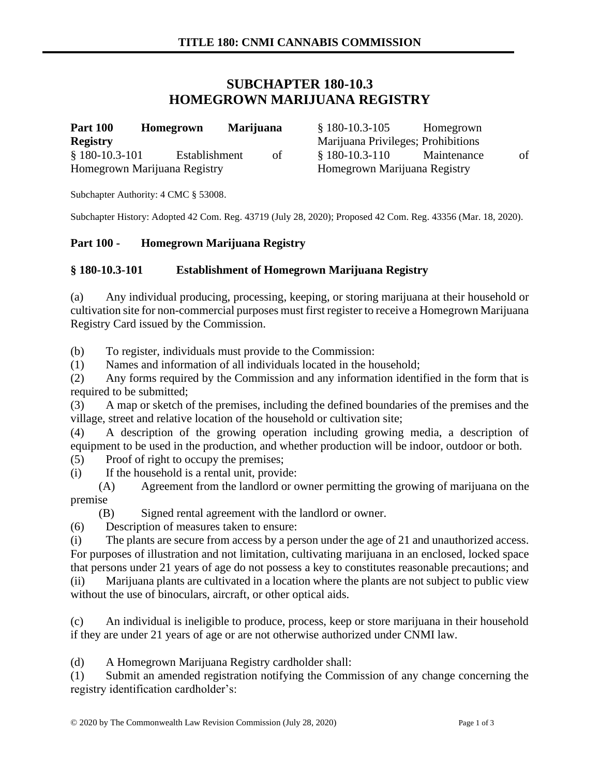# **SUBCHAPTER 180-10.3 HOMEGROWN MARIJUANA REGISTRY**

| <b>Part 100</b>              | Homegrown     | <b>Marijuana</b> |    | $$180-10.3-105$                    | Homegrown   |    |
|------------------------------|---------------|------------------|----|------------------------------------|-------------|----|
| <b>Registry</b>              |               |                  |    | Marijuana Privileges; Prohibitions |             |    |
| $$180-10.3-101$              | Establishment |                  | of | $$180-10.3-110$                    | Maintenance | οf |
| Homegrown Marijuana Registry |               |                  |    | Homegrown Marijuana Registry       |             |    |

Subchapter Authority: 4 CMC § 53008.

Subchapter History: Adopted 42 Com. Reg. 43719 (July 28, 2020); Proposed 42 Com. Reg. 43356 (Mar. 18, 2020).

#### **Part 100 - Homegrown Marijuana Registry**

### **§ 180-10.3-101 Establishment of Homegrown Marijuana Registry**

(a) Any individual producing, processing, keeping, or storing marijuana at their household or cultivation site for non-commercial purposes must first register to receive a Homegrown Marijuana Registry Card issued by the Commission.

(b) To register, individuals must provide to the Commission:

(1) Names and information of all individuals located in the household;

(2) Any forms required by the Commission and any information identified in the form that is required to be submitted;

(3) A map or sketch of the premises, including the defined boundaries of the premises and the village, street and relative location of the household or cultivation site;

(4) A description of the growing operation including growing media, a description of equipment to be used in the production, and whether production will be indoor, outdoor or both.

(5) Proof of right to occupy the premises;

(i) If the household is a rental unit, provide:

(A) Agreement from the landlord or owner permitting the growing of marijuana on the premise

(B) Signed rental agreement with the landlord or owner.

(6) Description of measures taken to ensure:

(i) The plants are secure from access by a person under the age of 21 and unauthorized access. For purposes of illustration and not limitation, cultivating marijuana in an enclosed, locked space that persons under 21 years of age do not possess a key to constitutes reasonable precautions; and (ii) Marijuana plants are cultivated in a location where the plants are not subject to public view without the use of binoculars, aircraft, or other optical aids.

(c) An individual is ineligible to produce, process, keep or store marijuana in their household if they are under 21 years of age or are not otherwise authorized under CNMI law.

(d) A Homegrown Marijuana Registry cardholder shall:

(1) Submit an amended registration notifying the Commission of any change concerning the registry identification cardholder's: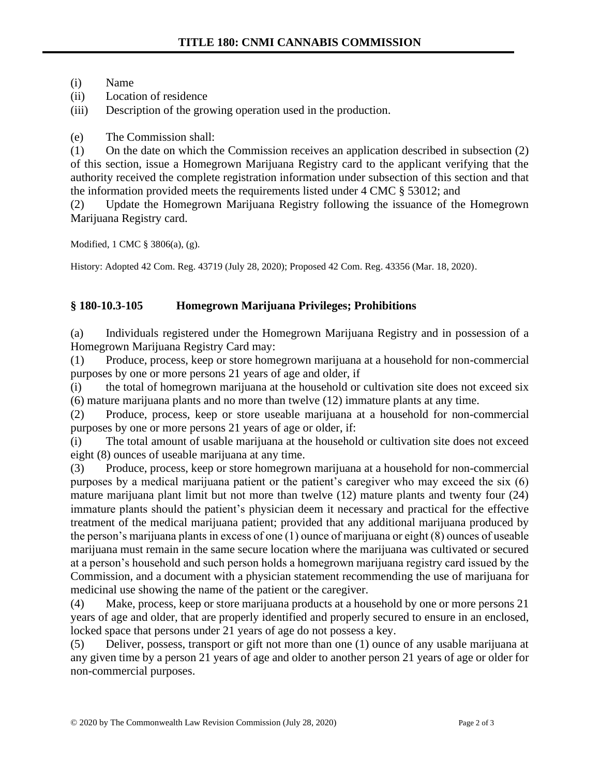(i) Name

(ii) Location of residence

(iii) Description of the growing operation used in the production.

(e) The Commission shall:

(1) On the date on which the Commission receives an application described in subsection (2) of this section, issue a Homegrown Marijuana Registry card to the applicant verifying that the authority received the complete registration information under subsection of this section and that the information provided meets the requirements listed under 4 CMC § 53012; and

(2) Update the Homegrown Marijuana Registry following the issuance of the Homegrown Marijuana Registry card.

Modified, 1 CMC § 3806(a), (g).

History: Adopted 42 Com. Reg. 43719 (July 28, 2020); Proposed 42 Com. Reg. 43356 (Mar. 18, 2020).

## **§ 180-10.3-105 Homegrown Marijuana Privileges; Prohibitions**

(a) Individuals registered under the Homegrown Marijuana Registry and in possession of a Homegrown Marijuana Registry Card may:

(1) Produce, process, keep or store homegrown marijuana at a household for non-commercial purposes by one or more persons 21 years of age and older, if

(i) the total of homegrown marijuana at the household or cultivation site does not exceed six (6) mature marijuana plants and no more than twelve (12) immature plants at any time.

(2) Produce, process, keep or store useable marijuana at a household for non-commercial purposes by one or more persons 21 years of age or older, if:

(i) The total amount of usable marijuana at the household or cultivation site does not exceed eight (8) ounces of useable marijuana at any time.

(3) Produce, process, keep or store homegrown marijuana at a household for non-commercial purposes by a medical marijuana patient or the patient's caregiver who may exceed the six (6) mature marijuana plant limit but not more than twelve (12) mature plants and twenty four (24) immature plants should the patient's physician deem it necessary and practical for the effective treatment of the medical marijuana patient; provided that any additional marijuana produced by the person's marijuana plants in excess of one (1) ounce of marijuana or eight (8) ounces of useable marijuana must remain in the same secure location where the marijuana was cultivated or secured at a person's household and such person holds a homegrown marijuana registry card issued by the Commission, and a document with a physician statement recommending the use of marijuana for medicinal use showing the name of the patient or the caregiver.

(4) Make, process, keep or store marijuana products at a household by one or more persons 21 years of age and older, that are properly identified and properly secured to ensure in an enclosed, locked space that persons under 21 years of age do not possess a key.

(5) Deliver, possess, transport or gift not more than one (1) ounce of any usable marijuana at any given time by a person 21 years of age and older to another person 21 years of age or older for non-commercial purposes.